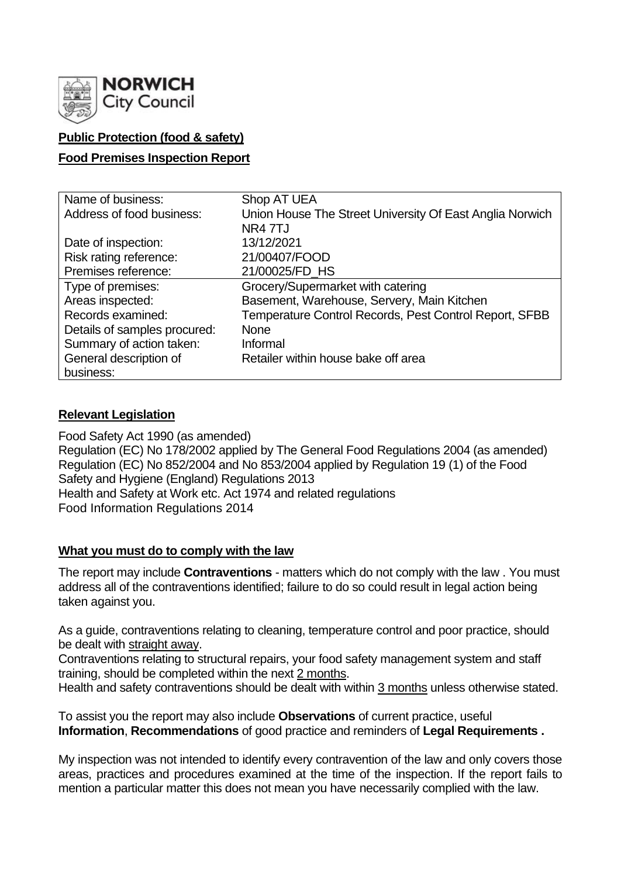

## **Public Protection (food & safety)**

#### **Food Premises Inspection Report**

| Name of business:            | Shop AT UEA                                              |
|------------------------------|----------------------------------------------------------|
| Address of food business:    | Union House The Street University Of East Anglia Norwich |
|                              | NR47TJ                                                   |
| Date of inspection:          | 13/12/2021                                               |
| Risk rating reference:       | 21/00407/FOOD                                            |
| Premises reference:          | 21/00025/FD_HS                                           |
| Type of premises:            | Grocery/Supermarket with catering                        |
| Areas inspected:             | Basement, Warehouse, Servery, Main Kitchen               |
| Records examined:            | Temperature Control Records, Pest Control Report, SFBB   |
| Details of samples procured: | <b>None</b>                                              |
| Summary of action taken:     | Informal                                                 |
| General description of       | Retailer within house bake off area                      |
| business:                    |                                                          |

### **Relevant Legislation**

Food Safety Act 1990 (as amended) Regulation (EC) No 178/2002 applied by The General Food Regulations 2004 (as amended) Regulation (EC) No 852/2004 and No 853/2004 applied by Regulation 19 (1) of the Food Safety and Hygiene (England) Regulations 2013 Health and Safety at Work etc. Act 1974 and related regulations Food Information Regulations 2014

#### **What you must do to comply with the law**

The report may include **Contraventions** - matters which do not comply with the law . You must address all of the contraventions identified; failure to do so could result in legal action being taken against you.

As a guide, contraventions relating to cleaning, temperature control and poor practice, should be dealt with straight away.

Contraventions relating to structural repairs, your food safety management system and staff training, should be completed within the next 2 months.

Health and safety contraventions should be dealt with within 3 months unless otherwise stated.

To assist you the report may also include **Observations** of current practice, useful **Information**, **Recommendations** of good practice and reminders of **Legal Requirements .**

My inspection was not intended to identify every contravention of the law and only covers those areas, practices and procedures examined at the time of the inspection. If the report fails to mention a particular matter this does not mean you have necessarily complied with the law.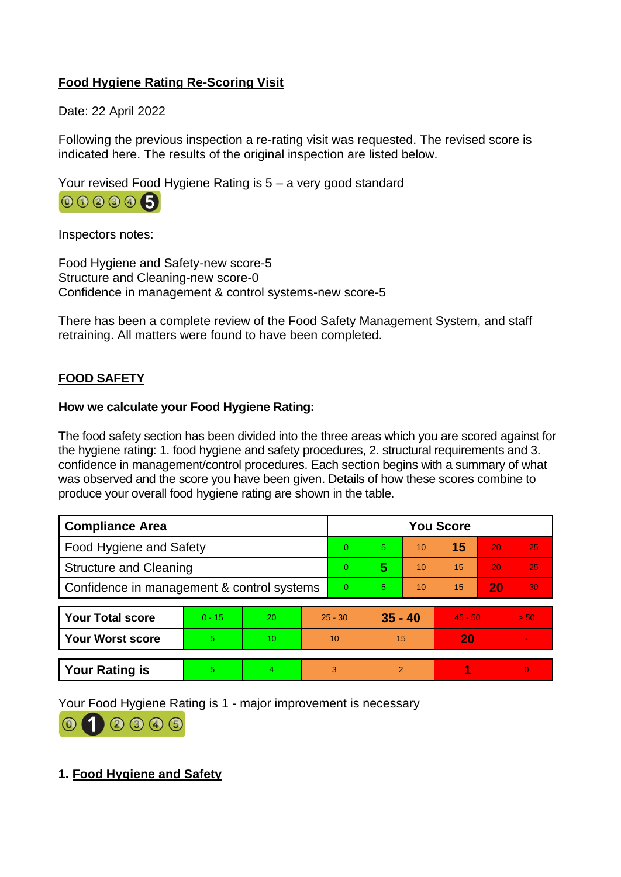## **Food Hygiene Rating Re-Scoring Visit**

Date: 22 April 2022

Following the previous inspection a re-rating visit was requested. The revised score is indicated here. The results of the original inspection are listed below.

Your revised Food Hygiene Rating is 5 – a very good standard



Inspectors notes:

Food Hygiene and Safety-new score-5 Structure and Cleaning-new score-0 Confidence in management & control systems-new score-5

There has been a complete review of the Food Safety Management System, and staff retraining. All matters were found to have been completed.

# **FOOD SAFETY**

### **How we calculate your Food Hygiene Rating:**

The food safety section has been divided into the three areas which you are scored against for the hygiene rating: 1. food hygiene and safety procedures, 2. structural requirements and 3. confidence in management/control procedures. Each section begins with a summary of what was observed and the score you have been given. Details of how these scores combine to produce your overall food hygiene rating are shown in the table.

| <b>Compliance Area</b>                     |          |    |          | <b>You Score</b> |           |    |           |                 |                |  |
|--------------------------------------------|----------|----|----------|------------------|-----------|----|-----------|-----------------|----------------|--|
| Food Hygiene and Safety                    |          |    |          | $\Omega$         | 5.        | 10 | 15        | 20              | 25             |  |
| <b>Structure and Cleaning</b>              |          |    |          | $\Omega$         | 5         | 10 | 15        | 20              | 25             |  |
| Confidence in management & control systems |          |    | $\Omega$ | 5.               | 10        | 15 | 20        | 30 <sub>1</sub> |                |  |
|                                            |          |    |          |                  |           |    |           |                 |                |  |
| <b>Your Total score</b>                    | $0 - 15$ | 20 |          | $25 - 30$        | $35 - 40$ |    | $45 - 50$ |                 | > 50           |  |
| <b>Your Worst score</b>                    | 5        | 10 | 10       |                  | 15        |    | 20        |                 | $\blacksquare$ |  |
|                                            |          |    |          |                  |           |    |           |                 |                |  |
| <b>Your Rating is</b>                      | 5        | 4  |          | 3                | 2         |    |           |                 | $\overline{0}$ |  |

Your Food Hygiene Rating is 1 - major improvement is necessary



## **1. Food Hygiene and Safety**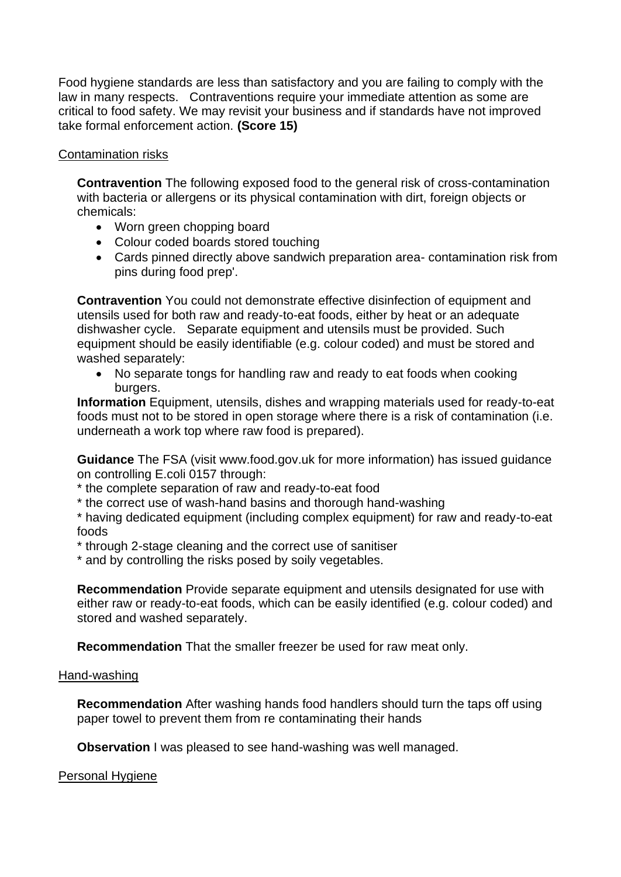Food hygiene standards are less than satisfactory and you are failing to comply with the law in many respects. Contraventions require your immediate attention as some are critical to food safety. We may revisit your business and if standards have not improved take formal enforcement action. **(Score 15)**

### Contamination risks

**Contravention** The following exposed food to the general risk of cross-contamination with bacteria or allergens or its physical contamination with dirt, foreign objects or chemicals:

- Worn green chopping board
- Colour coded boards stored touching
- Cards pinned directly above sandwich preparation area- contamination risk from pins during food prep'.

**Contravention** You could not demonstrate effective disinfection of equipment and utensils used for both raw and ready-to-eat foods, either by heat or an adequate dishwasher cycle. Separate equipment and utensils must be provided. Such equipment should be easily identifiable (e.g. colour coded) and must be stored and washed separately:

• No separate tongs for handling raw and ready to eat foods when cooking burgers.

**Information** Equipment, utensils, dishes and wrapping materials used for ready-to-eat foods must not to be stored in open storage where there is a risk of contamination (i.e. underneath a work top where raw food is prepared).

**Guidance** The FSA (visit www.food.gov.uk for more information) has issued guidance on controlling E.coli 0157 through:

\* the complete separation of raw and ready-to-eat food

\* the correct use of wash-hand basins and thorough hand-washing

\* having dedicated equipment (including complex equipment) for raw and ready-to-eat foods

\* through 2-stage cleaning and the correct use of sanitiser

\* and by controlling the risks posed by soily vegetables.

**Recommendation** Provide separate equipment and utensils designated for use with either raw or ready-to-eat foods, which can be easily identified (e.g. colour coded) and stored and washed separately.

**Recommendation** That the smaller freezer be used for raw meat only.

#### Hand-washing

**Recommendation** After washing hands food handlers should turn the taps off using paper towel to prevent them from re contaminating their hands

**Observation** I was pleased to see hand-washing was well managed.

#### Personal Hygiene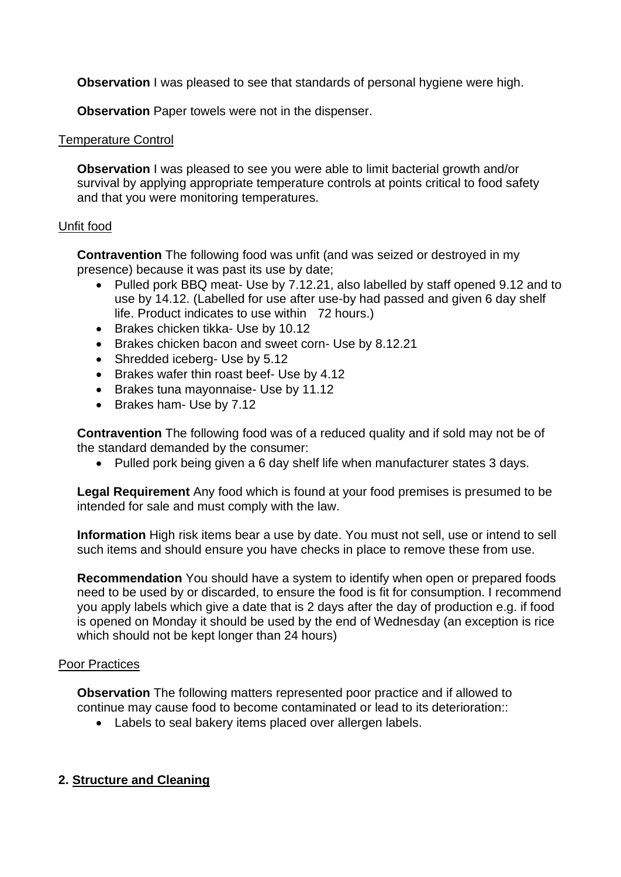**Observation** I was pleased to see that standards of personal hygiene were high.

**Observation** Paper towels were not in the dispenser.

### Temperature Control

**Observation** I was pleased to see you were able to limit bacterial growth and/or survival by applying appropriate temperature controls at points critical to food safety and that you were monitoring temperatures.

## Unfit food

**Contravention** The following food was unfit (and was seized or destroyed in my presence) because it was past its use by date;

- Pulled pork BBQ meat- Use by 7.12.21, also labelled by staff opened 9.12 and to use by 14.12. (Labelled for use after use-by had passed and given 6 day shelf life. Product indicates to use within 72 hours.)
- Brakes chicken tikka- Use by 10.12
- Brakes chicken bacon and sweet corn- Use by 8.12.21
- Shredded iceberg- Use by 5.12
- Brakes wafer thin roast beef- Use by 4.12
- Brakes tuna mayonnaise- Use by 11.12
- Brakes ham- Use by 7.12

**Contravention** The following food was of a reduced quality and if sold may not be of the standard demanded by the consumer:

• Pulled pork being given a 6 day shelf life when manufacturer states 3 days.

**Legal Requirement** Any food which is found at your food premises is presumed to be intended for sale and must comply with the law.

**Information** High risk items bear a use by date. You must not sell, use or intend to sell such items and should ensure you have checks in place to remove these from use.

**Recommendation** You should have a system to identify when open or prepared foods need to be used by or discarded, to ensure the food is fit for consumption. I recommend you apply labels which give a date that is 2 days after the day of production e.g. if food is opened on Monday it should be used by the end of Wednesday (an exception is rice which should not be kept longer than 24 hours)

## Poor Practices

**Observation** The following matters represented poor practice and if allowed to continue may cause food to become contaminated or lead to its deterioration::

• Labels to seal bakery items placed over allergen labels.

## **2. Structure and Cleaning**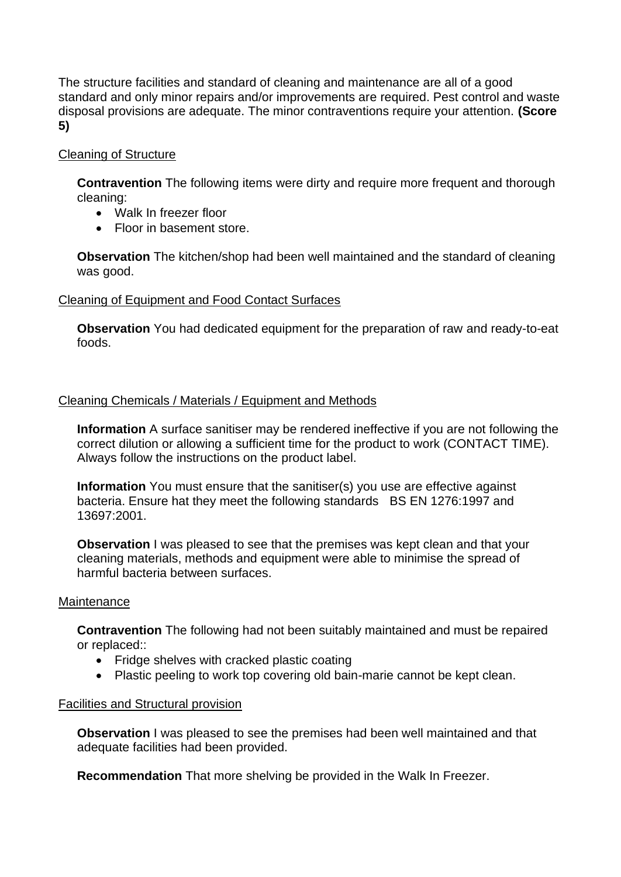The structure facilities and standard of cleaning and maintenance are all of a good standard and only minor repairs and/or improvements are required. Pest control and waste disposal provisions are adequate. The minor contraventions require your attention. **(Score 5)**

### Cleaning of Structure

**Contravention** The following items were dirty and require more frequent and thorough cleaning:

- Walk In freezer floor
- Floor in basement store.

**Observation** The kitchen/shop had been well maintained and the standard of cleaning was good.

#### Cleaning of Equipment and Food Contact Surfaces

**Observation** You had dedicated equipment for the preparation of raw and ready-to-eat foods.

#### Cleaning Chemicals / Materials / Equipment and Methods

**Information** A surface sanitiser may be rendered ineffective if you are not following the correct dilution or allowing a sufficient time for the product to work (CONTACT TIME). Always follow the instructions on the product label.

**Information** You must ensure that the sanitiser(s) you use are effective against bacteria. Ensure hat they meet the following standards BS EN 1276:1997 and 13697:2001.

**Observation** I was pleased to see that the premises was kept clean and that your cleaning materials, methods and equipment were able to minimise the spread of harmful bacteria between surfaces.

#### **Maintenance**

**Contravention** The following had not been suitably maintained and must be repaired or replaced::

- Fridge shelves with cracked plastic coating
- Plastic peeling to work top covering old bain-marie cannot be kept clean.

#### Facilities and Structural provision

**Observation** I was pleased to see the premises had been well maintained and that adequate facilities had been provided.

**Recommendation** That more shelving be provided in the Walk In Freezer.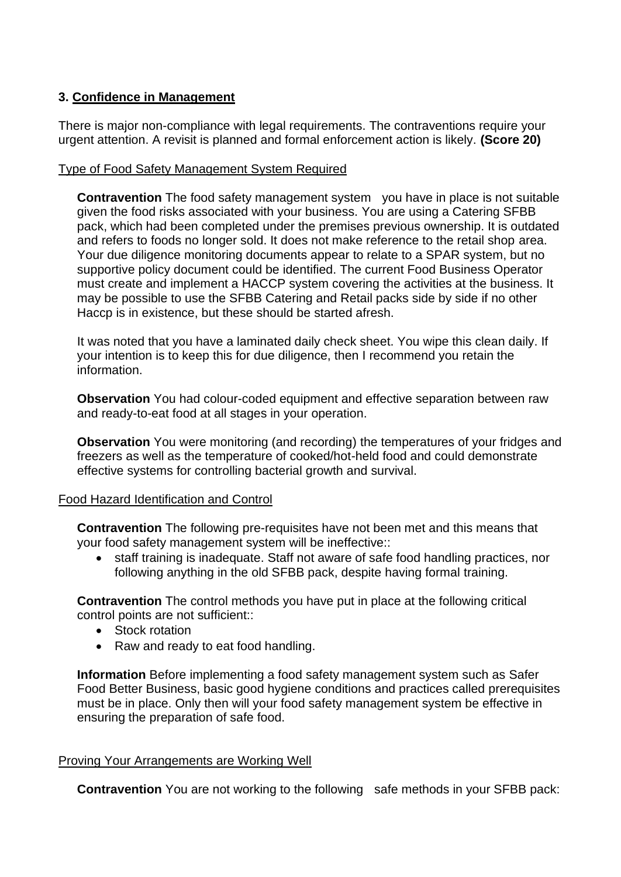## **3. Confidence in Management**

There is major non-compliance with legal requirements. The contraventions require your urgent attention. A revisit is planned and formal enforcement action is likely. **(Score 20)**

## Type of Food Safety Management System Required

**Contravention** The food safety management system you have in place is not suitable given the food risks associated with your business. You are using a Catering SFBB pack, which had been completed under the premises previous ownership. It is outdated and refers to foods no longer sold. It does not make reference to the retail shop area. Your due diligence monitoring documents appear to relate to a SPAR system, but no supportive policy document could be identified. The current Food Business Operator must create and implement a HACCP system covering the activities at the business. It may be possible to use the SFBB Catering and Retail packs side by side if no other Haccp is in existence, but these should be started afresh.

It was noted that you have a laminated daily check sheet. You wipe this clean daily. If your intention is to keep this for due diligence, then I recommend you retain the information.

**Observation** You had colour-coded equipment and effective separation between raw and ready-to-eat food at all stages in your operation.

**Observation** You were monitoring (and recording) the temperatures of your fridges and freezers as well as the temperature of cooked/hot-held food and could demonstrate effective systems for controlling bacterial growth and survival.

## Food Hazard Identification and Control

**Contravention** The following pre-requisites have not been met and this means that your food safety management system will be ineffective::

• staff training is inadequate. Staff not aware of safe food handling practices, nor following anything in the old SFBB pack, despite having formal training.

**Contravention** The control methods you have put in place at the following critical control points are not sufficient::

- Stock rotation
- Raw and ready to eat food handling.

**Information** Before implementing a food safety management system such as Safer Food Better Business, basic good hygiene conditions and practices called prerequisites must be in place. Only then will your food safety management system be effective in ensuring the preparation of safe food.

#### Proving Your Arrangements are Working Well

**Contravention** You are not working to the following safe methods in your SFBB pack: